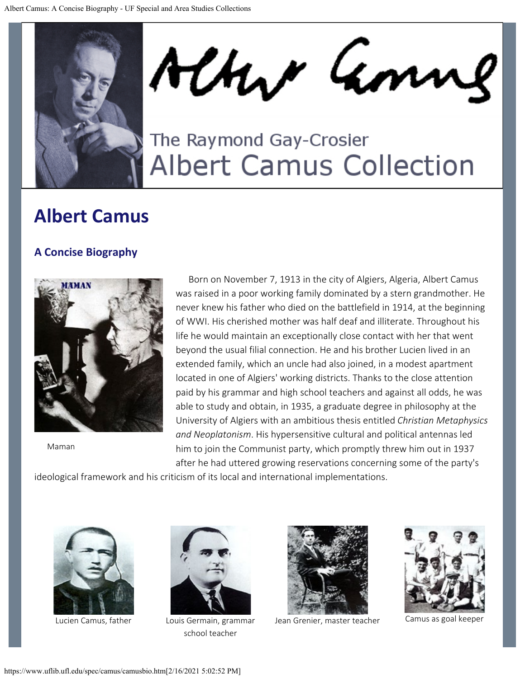

Alter Am

## The Raymond Gay-Crosier **Albert Camus Collection**

## **Albert Camus**

## **A Concise Biography**



Maman

Born on November 7, 1913 in the city of Algiers, Algeria, Albert Camus was raised in a poor working family dominated by a stern grandmother. He never knew his father who died on the battlefield in 1914, at the beginning of WWI. His cherished mother was half deaf and illiterate. Throughout his life he would maintain an exceptionally close contact with her that went beyond the usual filial connection. He and his brother Lucien lived in an extended family, which an uncle had also joined, in a modest apartment located in one of Algiers' working districts. Thanks to the close attention paid by his grammar and high school teachers and against all odds, he was able to study and obtain, in 1935, a graduate degree in philosophy at the University of Algiers with an ambitious thesis entitled *Christian Metaphysics and Neoplatonism*. His hypersensitive cultural and political antennas led him to join the Communist party, which promptly threw him out in 1937 after he had uttered growing reservations concerning some of the party's

ideological framework and his criticism of its local and international implementations.





Lucien Camus, father Louis Germain, grammar school teacher



Jean Grenier, master teacher Camus as goal keeper

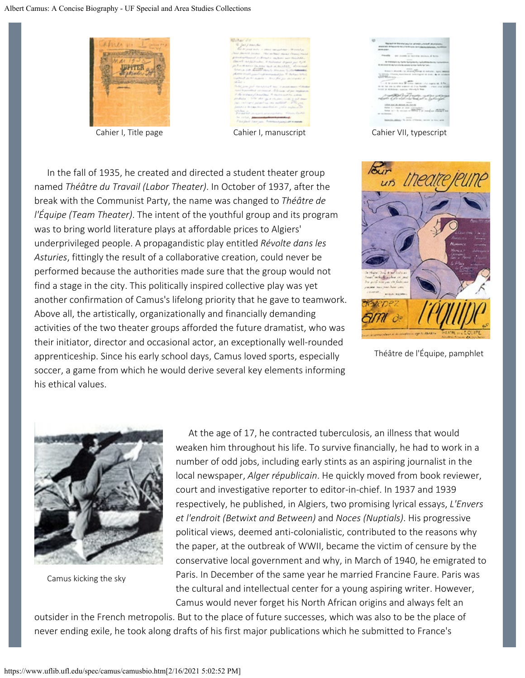

Cahier I, Title page Cahier I, manuscript Cahier VII, typescript

In the fall of 1935, he created and directed a student theater group named *Théâtre du Travail (Labor Theater)*. In October of 1937, after the break with the Communist Party, the name was changed to *Théâtre de l'Équipe (Team Theater)*. The intent of the youthful group and its program was to bring world literature plays at affordable prices to Algiers' underprivileged people. A propagandistic play entitled *Révolte dans les Asturies*, fittingly the result of a collaborative creation, could never be performed because the authorities made sure that the group would not find a stage in the city. This politically inspired collective play was yet another confirmation of Camus's lifelong priority that he gave to teamwork. Above all, the artistically, organizationally and financially demanding activities of the two theater groups afforded the future dramatist, who was their initiator, director and occasional actor, an exceptionally well-rounded apprenticeship. Since his early school days, Camus loved sports, especially soccer, a game from which he would derive several key elements informing his ethical values.



Théâtre de l'Équipe, pamphlet



Camus kicking the sky

At the age of 17, he contracted tuberculosis, an illness that would weaken him throughout his life. To survive financially, he had to work in a number of odd jobs, including early stints as an aspiring journalist in the local newspaper, *Alger républicain*. He quickly moved from book reviewer, court and investigative reporter to editor-in-chief. In 1937 and 1939 respectively, he published, in Algiers, two promising lyrical essays, *L'Envers et l'endroit (Betwixt and Between)* and *Noces (Nuptials)*. His progressive political views, deemed anti-colonialistic, contributed to the reasons why the paper, at the outbreak of WWII, became the victim of censure by the conservative local government and why, in March of 1940, he emigrated to Paris. In December of the same year he married Francine Faure. Paris was the cultural and intellectual center for a young aspiring writer. However, Camus would never forget his North African origins and always felt an

outsider in the French metropolis. But to the place of future successes, which was also to be the place of never ending exile, he took along drafts of his first major publications which he submitted to France's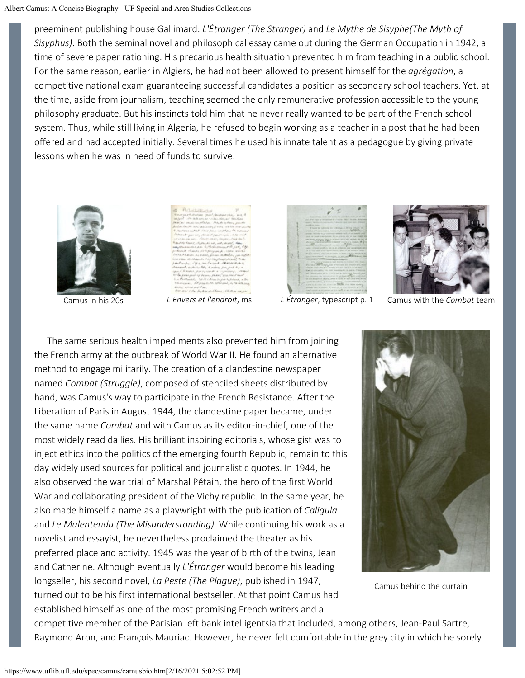preeminent publishing house Gallimard: *L'Étranger (The Stranger)* and *Le Mythe de Sisyphe(The Myth of Sisyphus)*. Both the seminal novel and philosophical essay came out during the German Occupation in 1942, a time of severe paper rationing. His precarious health situation prevented him from teaching in a public school. For the same reason, earlier in Algiers, he had not been allowed to present himself for the *agrégation*, a competitive national exam guaranteeing successful candidates a position as secondary school teachers. Yet, at the time, aside from journalism, teaching seemed the only remunerative profession accessible to the young philosophy graduate. But his instincts told him that he never really wanted to be part of the French school system. Thus, while still living in Algeria, he refused to begin working as a teacher in a post that he had been offered and had accepted initially. Several times he used his innate talent as a pedagogue by giving private lessons when he was in need of funds to survive.







Camus in his 20s *L'Envers et l'endroit*, ms. *L'Étranger*, typescript p. 1 Camus with the *Combat* team

The same serious health impediments also prevented him from joining the French army at the outbreak of World War II. He found an alternative method to engage militarily. The creation of a clandestine newspaper named *Combat (Struggle)*, composed of stenciled sheets distributed by hand, was Camus's way to participate in the French Resistance. After the Liberation of Paris in August 1944, the clandestine paper became, under the same name *Combat* and with Camus as its editor-in-chief, one of the most widely read dailies. His brilliant inspiring editorials, whose gist was to inject ethics into the politics of the emerging fourth Republic, remain to this day widely used sources for political and journalistic quotes. In 1944, he also observed the war trial of Marshal Pétain, the hero of the first World War and collaborating president of the Vichy republic. In the same year, he also made himself a name as a playwright with the publication of *Caligula* and *Le Malentendu (The Misunderstanding)*. While continuing his work as a novelist and essayist, he nevertheless proclaimed the theater as his preferred place and activity. 1945 was the year of birth of the twins, Jean and Catherine. Although eventually *L'Étranger* would become his leading longseller, his second novel, *La Peste (The Plague)*, published in 1947, turned out to be his first international bestseller. At that point Camus had established himself as one of the most promising French writers and a



Camus behind the curtain

competitive member of the Parisian left bank intelligentsia that included, among others, Jean-Paul Sartre, Raymond Aron, and François Mauriac. However, he never felt comfortable in the grey city in which he sorely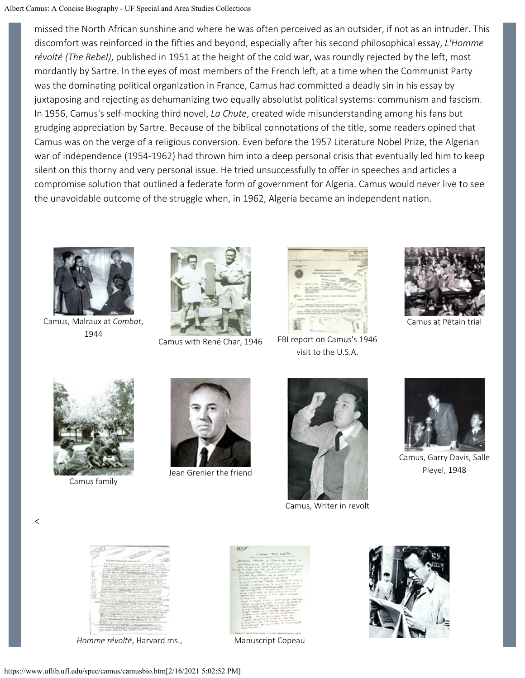missed the North African sunshine and where he was often perceived as an outsider, if not as an intruder. This discomfort was reinforced in the fifties and beyond, especially after his second philosophical essay, *L'Homme révolté (The Rebel)*, published in 1951 at the height of the cold war, was roundly rejected by the left, most mordantly by Sartre. In the eyes of most members of the French left, at a time when the Communist Party was the dominating political organization in France, Camus had committed a deadly sin in his essay by juxtaposing and rejecting as dehumanizing two equally absolutist political systems: communism and fascism. In 1956, Camus's self-mocking third novel, *La Chute*, created wide misunderstanding among his fans but grudging appreciation by Sartre. Because of the biblical connotations of the title, some readers opined that Camus was on the verge of a religious conversion. Even before the 1957 Literature Nobel Prize, the Algerian war of independence (1954-1962) had thrown him into a deep personal crisis that eventually led him to keep silent on this thorny and very personal issue. He tried unsuccessfully to offer in speeches and articles a compromise solution that outlined a federate form of government for Algeria. Camus would never live to see the unavoidable outcome of the struggle when, in 1962, Algeria became an independent nation.



Camus, Malraux at *Combat*, 1944





Camus with René Char, 1946 FBI report on Camus's 1946 visit to the U.S.A.



Camus at Pétain trial



Camus family



Jean Grenier the friend



Camus, Writer in revolt



Camus, Garry Davis, Salle Pleyel, 1948

 $\,<$ 



*Homme révolté*, Harvard ms., Manuscript Copeau



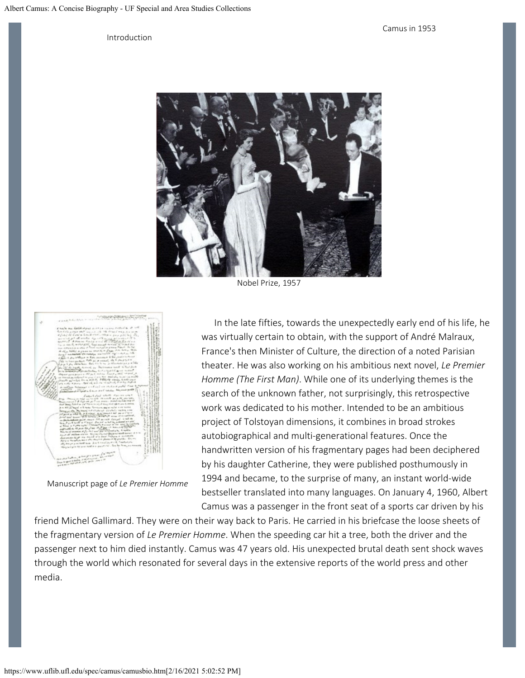Introduction



Nobel Prize, 1957



Manuscript page of *Le Premier Homme*

In the late fifties, towards the unexpectedly early end of his life, he was virtually certain to obtain, with the support of André Malraux, France's then Minister of Culture, the direction of a noted Parisian theater. He was also working on his ambitious next novel, *Le Premier Homme (The First Man)*. While one of its underlying themes is the search of the unknown father, not surprisingly, this retrospective work was dedicated to his mother. Intended to be an ambitious project of Tolstoyan dimensions, it combines in broad strokes autobiographical and multi-generational features. Once the handwritten version of his fragmentary pages had been deciphered by his daughter Catherine, they were published posthumously in 1994 and became, to the surprise of many, an instant world-wide bestseller translated into many languages. On January 4, 1960, Albert Camus was a passenger in the front seat of a sports car driven by his

friend Michel Gallimard. They were on their way back to Paris. He carried in his briefcase the loose sheets of the fragmentary version of *Le Premier Homme*. When the speeding car hit a tree, both the driver and the passenger next to him died instantly. Camus was 47 years old. His unexpected brutal death sent shock waves through the world which resonated for several days in the extensive reports of the world press and other media.